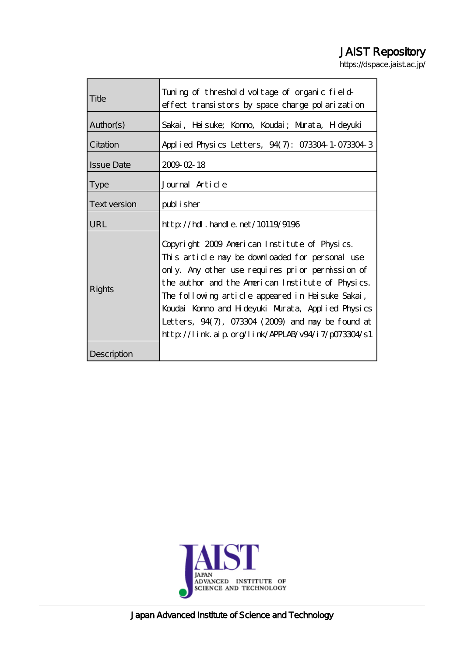## JAIST Repository

https://dspace.jaist.ac.jp/

| Title               | Tuning of threshold voltage of organic field-              |
|---------------------|------------------------------------------------------------|
|                     | effect transistors by space charge polarization            |
| Author(s)           | Sakai, Heisuke; Konno, Koudai; Murata, Holeyuki            |
| Citation            | Applied Physics Letters, 94(7): 073304-1-073304-3          |
| <b>Issue Date</b>   | $200902 - 18$                                              |
| <b>Type</b>         | Journal Article                                            |
| <b>Text version</b> | publisher                                                  |
| URL                 | $\frac{\text{http}}{\text{dtpt}}$ . handle. net/10119/9196 |
| Rights              | Copyright 2009 American Institute of Physics.              |
|                     | This article may be downloaded for personal use            |
|                     | only. Any other use requires prior permission of           |
|                     | the author and the American Institute of Physics.          |
|                     | The following article appeared in Heisuke Sakai,           |
|                     | Koudai Konno and H deyuki Murata, Applied Physics          |
|                     | Letters, $94(7)$ , $073304$ $(2009)$ and may be found at   |
|                     | http://link.aip.org/link/APPLAB/v94/i7/p073304/s1          |
| Description         |                                                            |



Japan Advanced Institute of Science and Technology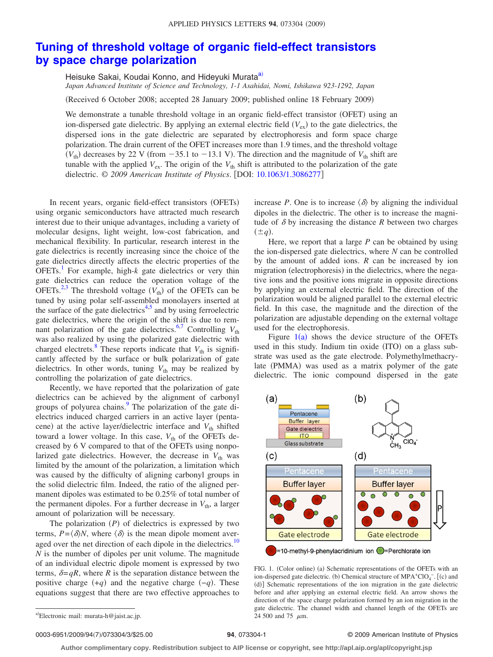## **[Tuning of threshold voltage of organic field-effect transistors](http://dx.doi.org/10.1063/1.3086277) [by space charge polarization](http://dx.doi.org/10.1063/1.3086277)**

Heisuke Sakai, Koudai Konno, and Hideyuki Murata<sup>a)</sup> *Japan Advanced Institute of Science and Technology, 1-1 Asahidai, Nomi, Ishikawa 923-1292, Japan*

Received 6 October 2008; accepted 28 January 2009; published online 18 February 2009-

We demonstrate a tunable threshold voltage in an organic field-effect transistor (OFET) using an ion-dispersed gate dielectric. By applying an external electric field  $(V_{ex})$  to the gate dielectrics, the dispersed ions in the gate dielectric are separated by electrophoresis and form space charge polarization. The drain current of the OFET increases more than 1.9 times, and the threshold voltage  $(V_{\text{th}})$  decreases by 22 V (from  $-35.1$  to  $-13.1$  V). The direction and the magnitude of  $V_{\text{th}}$  shift are tunable with the applied  $V_{ex}$ . The origin of the  $V_{th}$  shift is attributed to the polarization of the gate dielectric. © 2009 American Institute of Physics. [DOI: [10.1063/1.3086277](http://dx.doi.org/10.1063/1.3086277)]

In recent years, organic field-effect transistors (OFETs) using organic semiconductors have attracted much research interest due to their unique advantages, including a variety of molecular designs, light weight, low-cost fabrication, and mechanical flexibility. In particular, research interest in the gate dielectrics is recently increasing since the choice of the gate dielectrics directly affects the electric properties of the OFETs[.1](#page-3-0) For example, high-*k* gate dielectrics or very thin gate dielectrics can reduce the operation voltage of the OFETs.<sup>2,[3](#page-3-2)</sup> The threshold voltage  $(V_{th})$  of the OFETs can be tuned by using polar self-assembled monolayers inserted at the surface of the gate dielectrics<sup>4[,5](#page-3-4)</sup> and by using ferroelectric gate dielectrics, where the origin of the shift is due to rem-nant polarization of the gate dielectrics.<sup>6,[7](#page-3-6)</sup> Controlling  $V_{th}$ was also realized by using the polarized gate dielectric with charged electrets.<sup>8</sup> These reports indicate that  $V_{th}$  is significantly affected by the surface or bulk polarization of gate dielectrics. In other words, tuning  $V_{th}$  may be realized by controlling the polarization of gate dielectrics.

Recently, we have reported that the polarization of gate dielectrics can be achieved by the alignment of carbonyl groups of polyurea chains.<sup>9</sup> The polarization of the gate dielectrics induced charged carriers in an active layer (pentacene) at the active layer/dielectric interface and  $V_{th}$  shifted toward a lower voltage. In this case,  $V_{th}$  of the OFETs decreased by 6 V compared to that of the OFETs using nonpolarized gate dielectrics. However, the decrease in  $V_{th}$  was limited by the amount of the polarization, a limitation which was caused by the difficulty of aligning carbonyl groups in the solid dielectric film. Indeed, the ratio of the aligned permanent dipoles was estimated to be 0.25% of total number of the permanent dipoles. For a further decrease in  $V_{th}$ , a larger amount of polarization will be necessary.

The polarization  $(P)$  of dielectrics is expressed by two terms,  $P = \langle \delta \rangle N$ , where  $\langle \delta \rangle$  is the mean dipole moment averaged over the net direction of each dipole in the dielectrics.<sup>10</sup> *N* is the number of dipoles per unit volume. The magnitude of an individual electric dipole moment is expressed by two terms,  $\delta = qR$ , where *R* is the separation distance between the positive charge  $(+q)$  and the negative charge  $(-q)$ . These equations suggest that there are two effective approaches to

increase *P*. One is to increase  $\langle \delta \rangle$  by aligning the individual dipoles in the dielectric. The other is to increase the magnitude of  $\delta$  by increasing the distance  $R$  between two charges  $(\pm q)$ .

Here, we report that a large *P* can be obtained by using the ion-dispersed gate dielectrics, where *N* can be controlled by the amount of added ions. *R* can be increased by ion migration (electrophoresis) in the dielectrics, where the negative ions and the positive ions migrate in opposite directions by applying an external electric field. The direction of the polarization would be aligned parallel to the external electric field. In this case, the magnitude and the direction of the polarization are adjustable depending on the external voltage used for the electrophoresis.

Figure  $1(a)$  $1(a)$  shows the device structure of the OFETs used in this study. Indium tin oxide (ITO) on a glass substrate was used as the gate electrode. Polymethylmethacrylate (PMMA) was used as a matrix polymer of the gate dielectric. The ionic compound dispersed in the gate

<span id="page-1-1"></span>

FIG. 1. (Color online) (a) Schematic representations of the OFETs with an ion-dispersed gate dielectric. (b) Chemical structure of MPA<sup>+</sup>ClO<sub>4</sub><sup>-</sup>. [(c) and (d)] Schematic representations of the ion migration in the gate dielectric before and after applying an external electric field. An arrow shows the direction of the space charge polarization formed by an ion migration in the gate dielectric. The channel width and channel length of the OFETs are 24 500 and 75  $\mu$ m.

0003-6951/2009/94(7)/073304/3/\$25.00

## **94**, 073304-1 © 2009 American Institute of Physics

**Author complimentary copy. Redistribution subject to AIP license or copyright, see http://apl.aip.org/apl/copyright.jsp**

<span id="page-1-0"></span>a)Electronic mail: murata-h@jaist.ac.jp.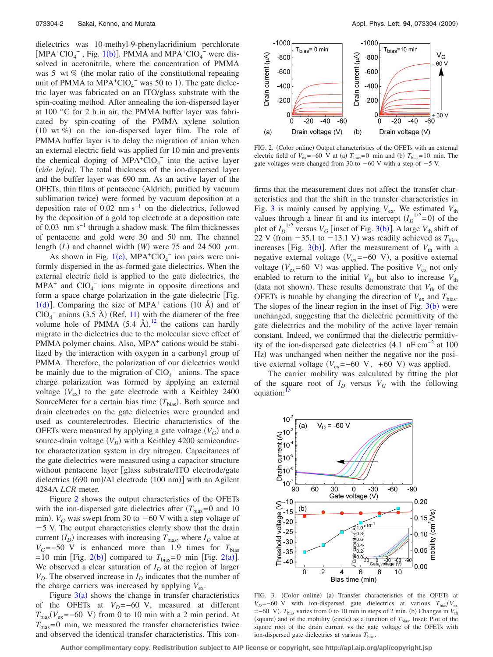dielectrics was 10-methyl-9-phenylacridinium perchlorate [MPA<sup>+</sup>ClO<sub>4</sub><sup>-</sup>, Fig. [1](#page-1-1)(b)]. PMMA and MPA<sup>+</sup>ClO<sub>4</sub><sup>-</sup> were dissolved in acetonitrile, where the concentration of PMMA was 5 wt % (the molar ratio of the constitutional repeating unit of PMMA to  $MPA<sup>+</sup>ClO<sub>4</sub><sup>-</sup>$  was 50 to 1). The gate dielectric layer was fabricated on an ITO/glass substrate with the spin-coating method. After annealing the ion-dispersed layer at 100 °C for 2 h in air, the PMMA buffer layer was fabricated by spin-coating of the PMMA xylene solution (10 wt %) on the ion-dispersed layer film. The role of PMMA buffer layer is to delay the migration of anion when an external electric field was applied for 10 min and prevents the chemical doping of  $MPA+CIO_4^-$  into the active layer (vide infra). The total thickness of the ion-dispersed layer and the buffer layer was 690 nm. As an active layer of the OFETs, thin films of pentacene Aldrich, purified by vacuum sublimation twice) were formed by vacuum deposition at a deposition rate of 0.02 nm s−1 on the dielectrics, followed by the deposition of a gold top electrode at a deposition rate of 0.03 nm s<sup> $-1$ </sup> through a shadow mask. The film thicknesses of pentacene and gold were 30 and 50 nm. The channel length  $(L)$  and channel width  $(W)$  were 75 and 24 500  $\mu$ m.

As shown in Fig.  $1(c)$  $1(c)$ , MPA<sup>+</sup>ClO<sub>4</sub><sup>-</sup> ion pairs were uniformly dispersed in the as-formed gate dielectrics. When the external electric field is applied to the gate dielectrics, the  $MPA^+$  and  $ClO_4^-$  ions migrate in opposite directions and form a space charge polarization in the gate dielectric [Fig. [1](#page-1-1)(d)]. Comparing the size of MPA<sup>+</sup> cations (10 Å) and of  $ClO<sub>4</sub><sup>-</sup>$  anions (3.5 Å) (Ref. [11](#page-3-10)) with the diameter of the free volume hole of PMMA  $(5.4 \text{ Å})$ ,<sup>[12](#page-3-11)</sup> the cations can hardly migrate in the dielectrics due to the molecular sieve effect of PMMA polymer chains. Also, MPA<sup>+</sup> cations would be stabilized by the interaction with oxygen in a carbonyl group of PMMA. Therefore, the polarization of our dielectrics would be mainly due to the migration of  $ClO<sub>4</sub><sup>-</sup>$  anions. The space charge polarization was formed by applying an external voltage  $(V_{ex})$  to the gate electrode with a Keithley 2400 SourceMeter for a certain bias time  $(T_{bias})$ . Both source and drain electrodes on the gate dielectrics were grounded and used as counterelectrodes. Electric characteristics of the OFETs were measured by applying a gate voltage  $(V_G)$  and a source-drain voltage (V<sub>D</sub>) with a Keithley 4200 semiconductor characterization system in dry nitrogen. Capacitances of the gate dielectrics were measured using a capacitor structure without pentacene layer [glass substrate/ITO electrode/gate dielectrics (690 nm)/Al electrode (100 nm)] with an Agilent 4284A *LCR* meter.

Figure [2](#page-2-0) shows the output characteristics of the OFETs with the ion-dispersed gate dielectrics after  $(T_{bias}= 0$  and 10 min).  $V_G$  was swept from 30 to  $-60$  V with a step voltage of  $-5$  V. The output characteristics clearly show that the drain current  $(I_D)$  increases with increasing  $T_{bias}$ , where  $I_D$  value at  $V_G$  =−50 V is enhanced more than 1.9 times for  $T_{bias}$  $= 10$  min [Fig. [2](#page-2-0)(b)] compared to  $T_{bias} = 0$  min [Fig. 2(a)]. We observed a clear saturation of  $I<sub>D</sub>$  at the region of larger  $V<sub>D</sub>$ . The observed increase in  $I<sub>D</sub>$  indicates that the number of the charge carriers was increased by applying  $V_{ex}$ .

Figure  $3(a)$  $3(a)$  shows the change in transfer characteristics of the OFETs at  $V_D = -60$  V, measured at different  $T_{bias}(V_{ex} = -60$  V) from 0 to 10 min with a 2 min period. At  $T_{bias}$ =0 min, we measured the transfer characteristics twice and observed the identical transfer characteristics. This con-

<span id="page-2-0"></span>

FIG. 2. (Color online) Output characteristics of the OFETs with an external electric field of  $V_{\text{ex}}$ =−60 V at (a)  $T_{\text{bias}}$ =0 min and (b)  $T_{\text{bias}}$ =10 min. The gate voltages were changed from 30 to  $-60$  V with a step of  $-5$  V.

firms that the measurement does not affect the transfer characteristics and that the shift in the transfer characteristics in Fig. [3](#page-2-1) is mainly caused by applying  $V_{ex}$ . We estimated  $V_{th}$ values through a linear fit and its intercept  $(I_D^{-1/2}=0)$  of the plot of  $I_D^{-1/2}$  versus  $V_G$  [inset of Fig. [3](#page-2-1)(b)]. A large  $V_{th}$  shift of 22 V (from  $-35.1$  to  $-13.1$  V) was readily achieved as  $T_{bias}$ increases [Fig.  $3(b)$  $3(b)$ ]. After the measurement of  $V_{th}$  with a negative external voltage  $(V_{ex}=-60 \text{ V})$ , a positive external voltage ( $V_{\text{ex}}$ =60 V) was applied. The positive  $V_{\text{ex}}$  not only enabled to return to the initial  $V_{th}$  but also to increase  $V_{th}$ (data not shown). These results demonstrate that  $V_{th}$  of the OFETs is tunable by changing the direction of  $V_{ex}$  and  $T_{bias}$ . The slopes of the linear region in the inset of Fig.  $3(b)$  $3(b)$  were unchanged, suggesting that the dielectric permittivity of the gate dielectrics and the mobility of the active layer remain constant. Indeed, we confirmed that the dielectric permittivity of the ion-dispersed gate dielectrics 4.1 nF cm−2 at 100 Hz) was unchanged when neither the negative nor the positive external voltage  $(V_{ex}=-60 \text{ V}, +60 \text{ V})$  was applied.

<span id="page-2-1"></span>The carrier mobility was calculated by fitting the plot of the square root of  $I_D$  versus  $V_G$  with the following equation: $13$ 



FIG. 3. (Color online) (a) Transfer characteristics of the OFETs at  $V_D$  =−60 V with ion-dispersed gate dielectrics at various  $T_{bias}(V_{ex})$  $=$  −60 V).  $T_{bias}$  varies from 0 to 10 min in steps of 2 min. (b) Changes in  $V_{th}$ (square) and of the mobility (circle) as a function of  $T_{bias}$ . Inset: Plot of the square root of the drain current vs the gate voltage of the OFETs with ion-dispersed gate dielectrics at various  $T_{\text{bias}}$ .

**Author complimentary copy. Redistribution subject to AIP license or copyright, see http://apl.aip.org/apl/copyright.jsp**